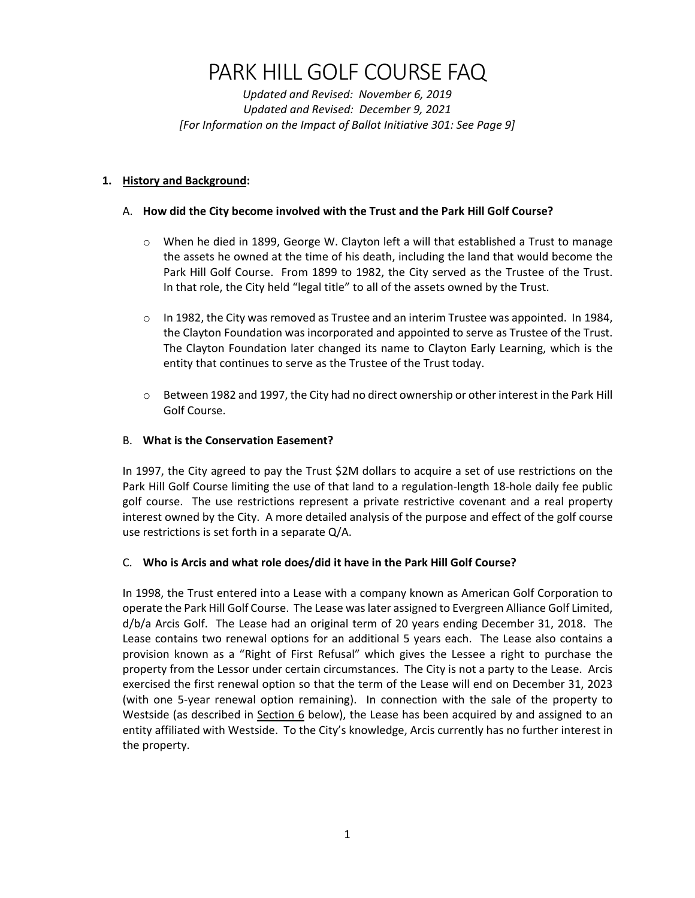# PARK HILL GOLF COURSE FAQ

 *Updated and Revised: November 6, 2019 Updated and Revised: December 9, 2021 [For Information on the Impact of Ballot Initiative 301: See Page 9]*

## **1. History and Background:**

## A. **How did the City become involved with the Trust and the Park Hill Golf Course?**

- o When he died in 1899, George W. Clayton left a will that established a Trust to manage the assets he owned at the time of his death, including the land that would become the Park Hill Golf Course. From 1899 to 1982, the City served as the Trustee of the Trust. In that role, the City held "legal title" to all of the assets owned by the Trust.
- $\circ$  In 1982, the City was removed as Trustee and an interim Trustee was appointed. In 1984, the Clayton Foundation was incorporated and appointed to serve as Trustee of the Trust. The Clayton Foundation later changed its name to Clayton Early Learning, which is the entity that continues to serve as the Trustee of the Trust today.
- o Between 1982 and 1997, the City had no direct ownership or other interest in the Park Hill Golf Course.

## B. **What is the Conservation Easement?**

 In 1997, the City agreed to pay the Trust \$2M dollars to acquire a set of use restrictions on the Park Hill Golf Course limiting the use of that land to a regulation‐length 18‐hole daily fee public golf course. The use restrictions represent a private restrictive covenant and a real property interest owned by the City. A more detailed analysis of the purpose and effect of the golf course use restrictions is set forth in a separate Q/A.

## C. **Who is Arcis and what role does/did it have in the Park Hill Golf Course?**

 In 1998, the Trust entered into a Lease with a company known as American Golf Corporation to operate the Park Hill Golf Course. The Lease waslater assigned to Evergreen Alliance Golf Limited, d/b/a Arcis Golf. The Lease had an original term of 20 years ending December 31, 2018. The Lease contains two renewal options for an additional 5 years each. The Lease also contains a provision known as a "Right of First Refusal" which gives the Lessee a right to purchase the property from the Lessor under certain circumstances. The City is not a party to the Lease. Arcis exercised the first renewal option so that the term of the Lease will end on December 31, 2023 (with one 5‐year renewal option remaining). In connection with the sale of the property to Westside (as described in Section 6 below), the Lease has been acquired by and assigned to an entity affiliated with Westside. To the City's knowledge, Arcis currently has no further interest in the property.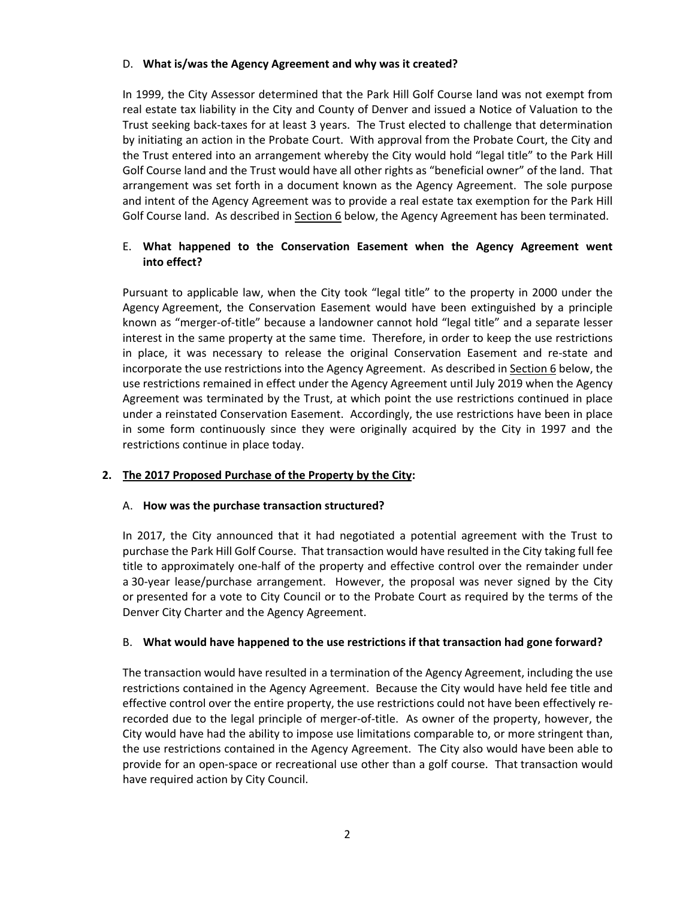#### D. **What is/was the Agency Agreement and why was it created?**

 In 1999, the City Assessor determined that the Park Hill Golf Course land was not exempt from real estate tax liability in the City and County of Denver and issued a Notice of Valuation to the Trust seeking back‐taxes for at least 3 years. The Trust elected to challenge that determination by initiating an action in the Probate Court. With approval from the Probate Court, the City and the Trust entered into an arrangement whereby the City would hold "legal title" to the Park Hill Golf Course land and the Trust would have all other rights as "beneficial owner" of the land. That arrangement was set forth in a document known as the Agency Agreement. The sole purpose and intent of the Agency Agreement was to provide a real estate tax exemption for the Park Hill Golf Course land. As described in **Section 6** below, the Agency Agreement has been terminated.

## E. **What happened to the Conservation Easement when the Agency Agreement went into effect?**

 Pursuant to applicable law, when the City took "legal title" to the property in 2000 under the Agency Agreement, the Conservation Easement would have been extinguished by a principle known as "merger‐of‐title" because a landowner cannot hold "legal title" and a separate lesser interest in the same property at the same time. Therefore, in order to keep the use restrictions in place, it was necessary to release the original Conservation Easement and re‐state and incorporate the use restrictions into the Agency Agreement. As described in Section 6 below, the use restrictions remained in effect under the Agency Agreement until July 2019 when the Agency Agreement was terminated by the Trust, at which point the use restrictions continued in place under a reinstated Conservation Easement. Accordingly, the use restrictions have been in place in some form continuously since they were originally acquired by the City in 1997 and the restrictions continue in place today.

## **2. The 2017 Proposed Purchase of the Property by the City:**

### A. **How was the purchase transaction structured?**

 In 2017, the City announced that it had negotiated a potential agreement with the Trust to purchase the Park Hill Golf Course. That transaction would have resulted in the City taking full fee title to approximately one‐half of the property and effective control over the remainder under a 30‐year lease/purchase arrangement. However, the proposal was never signed by the City or presented for a vote to City Council or to the Probate Court as required by the terms of the Denver City Charter and the Agency Agreement.

#### B. What would have happened to the use restrictions if that transaction had gone forward?

 The transaction would have resulted in a termination of the Agency Agreement, including the use restrictions contained in the Agency Agreement. Because the City would have held fee title and effective control over the entire property, the use restrictions could not have been effectively re‐ recorded due to the legal principle of merger‐of‐title. As owner of the property, however, the City would have had the ability to impose use limitations comparable to, or more stringent than, the use restrictions contained in the Agency Agreement. The City also would have been able to provide for an open‐space or recreational use other than a golf course. That transaction would have required action by City Council.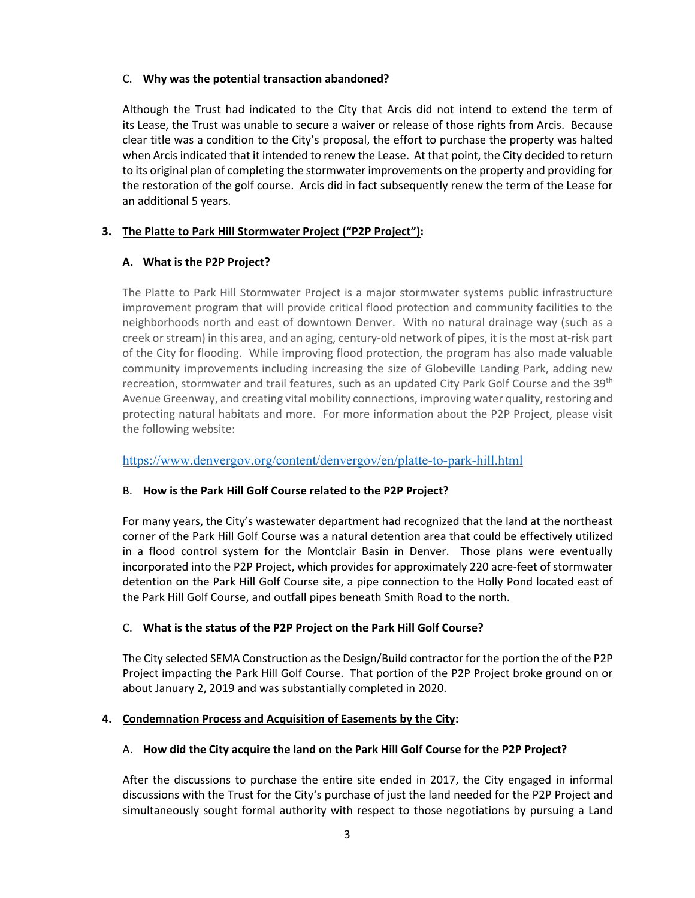#### C. **Why was the potential transaction abandoned?**

 Although the Trust had indicated to the City that Arcis did not intend to extend the term of its Lease, the Trust was unable to secure a waiver or release of those rights from Arcis. Because clear title was a condition to the City's proposal, the effort to purchase the property was halted when Arcis indicated that it intended to renew the Lease. At that point, the City decided to return to its original plan of completing the stormwater improvements on the property and providing for the restoration of the golf course. Arcis did in fact subsequently renew the term of the Lease for an additional 5 years.

# **3. The Platte to Park Hill Stormwater Project ("P2P Project"):**

# **A. What is the P2P Project?**

 The Platte to Park Hill Stormwater Project is a major stormwater systems public infrastructure improvement program that will provide critical flood protection and community facilities to the neighborhoods north and east of downtown Denver. With no natural drainage way (such as a creek or stream) in this area, and an aging, century‐old network of pipes, it is the most at‐risk part of the City for flooding. While improving flood protection, the program has also made valuable community improvements including increasing the size of Globeville Landing Park, adding new recreation, stormwater and trail features, such as an updated City Park Golf Course and the 39<sup>th</sup> Avenue Greenway, and creating vital mobility connections, improving water quality, restoring and protecting natural habitats and more. For more information about the P2P Project, please visit the following website:

<https://www.denvergov.org/content/denvergov/en/platte-to-park-hill.html>

## B. **How is the Park Hill Golf Course related to the P2P Project?**

 For many years, the City's wastewater department had recognized that the land at the northeast corner of the Park Hill Golf Course was a natural detention area that could be effectively utilized in a flood control system for the Montclair Basin in Denver. Those plans were eventually incorporated into the P2P Project, which provides for approximately 220 acre‐feet of stormwater detention on the Park Hill Golf Course site, a pipe connection to the Holly Pond located east of the Park Hill Golf Course, and outfall pipes beneath Smith Road to the north.

## C. **What is the status of the P2P Project on the Park Hill Golf Course?**

 The City selected SEMA Construction as the Design/Build contractor for the portion the of the P2P Project impacting the Park Hill Golf Course. That portion of the P2P Project broke ground on or about January 2, 2019 and was substantially completed in 2020.

## **4. Condemnation Process and Acquisition of Easements by the City:**

# A. How did the City acquire the land on the Park Hill Golf Course for the P2P Project?

 After the discussions to purchase the entire site ended in 2017, the City engaged in informal discussions with the Trust for the City's purchase of just the land needed for the P2P Project and simultaneously sought formal authority with respect to those negotiations by pursuing a Land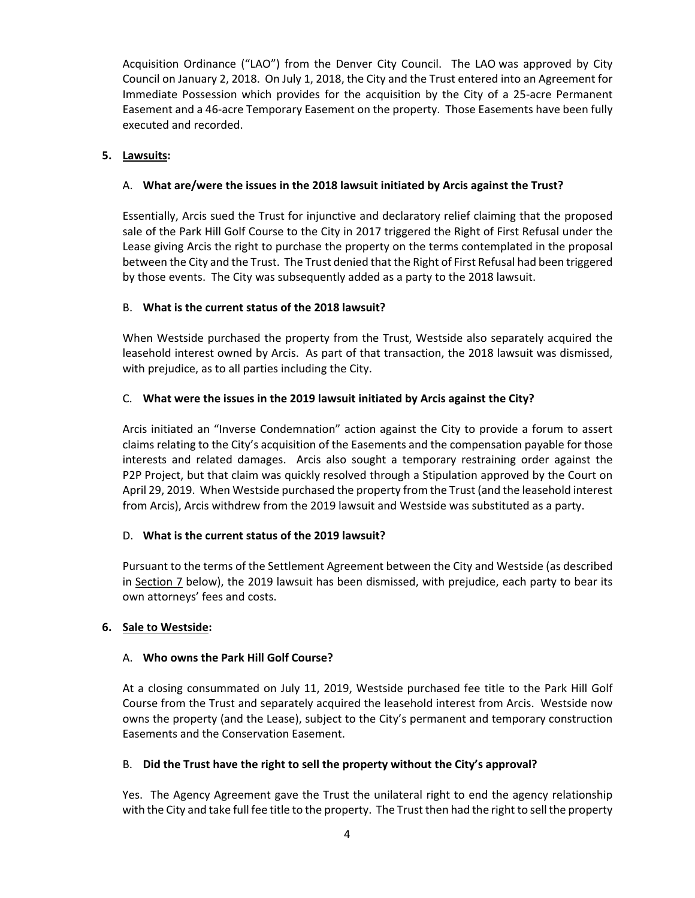Acquisition Ordinance ("LAO") from the Denver City Council. The LAO was approved by City Council on January 2, 2018. On July 1, 2018, the City and the Trust entered into an Agreement for Immediate Possession which provides for the acquisition by the City of a 25‐acre Permanent Easement and a 46‐acre Temporary Easement on the property. Those Easements have been fully executed and recorded.

#### **5. Lawsuits:**

## A. **What are/were the issues in the 2018 lawsuit initiated by Arcis against the Trust?**

 Essentially, Arcis sued the Trust for injunctive and declaratory relief claiming that the proposed sale of the Park Hill Golf Course to the City in 2017 triggered the Right of First Refusal under the Lease giving Arcis the right to purchase the property on the terms contemplated in the proposal between the City and the Trust. The Trust denied that the Right of First Refusal had been triggered by those events. The City was subsequently added as a party to the 2018 lawsuit.

## B. **What is the current status of the 2018 lawsuit?**

 When Westside purchased the property from the Trust, Westside also separately acquired the leasehold interest owned by Arcis. As part of that transaction, the 2018 lawsuit was dismissed, with prejudice, as to all parties including the City.

#### C. **What were the issues in the 2019 lawsuit initiated by Arcis against the City?**

 Arcis initiated an "Inverse Condemnation" action against the City to provide a forum to assert claims relating to the City's acquisition of the Easements and the compensation payable for those interests and related damages. Arcis also sought a temporary restraining order against the P2P Project, but that claim was quickly resolved through a Stipulation approved by the Court on April 29, 2019. When Westside purchased the property from the Trust (and the leasehold interest from Arcis), Arcis withdrew from the 2019 lawsuit and Westside was substituted as a party.

#### D. **What is the current status of the 2019 lawsuit?**

 Pursuant to the terms of the Settlement Agreement between the City and Westside (as described in Section 7 below), the 2019 lawsuit has been dismissed, with prejudice, each party to bear its own attorneys' fees and costs.

#### **6. Sale to Westside:**

#### A. **Who owns the Park Hill Golf Course?**

 At a closing consummated on July 11, 2019, Westside purchased fee title to the Park Hill Golf Course from the Trust and separately acquired the leasehold interest from Arcis. Westside now owns the property (and the Lease), subject to the City's permanent and temporary construction Easements and the Conservation Easement.

## B. **Did the Trust have the right to sell the property without the City's approval?**

 Yes. The Agency Agreement gave the Trust the unilateral right to end the agency relationship with the City and take full fee title to the property. The Trust then had the right to sell the property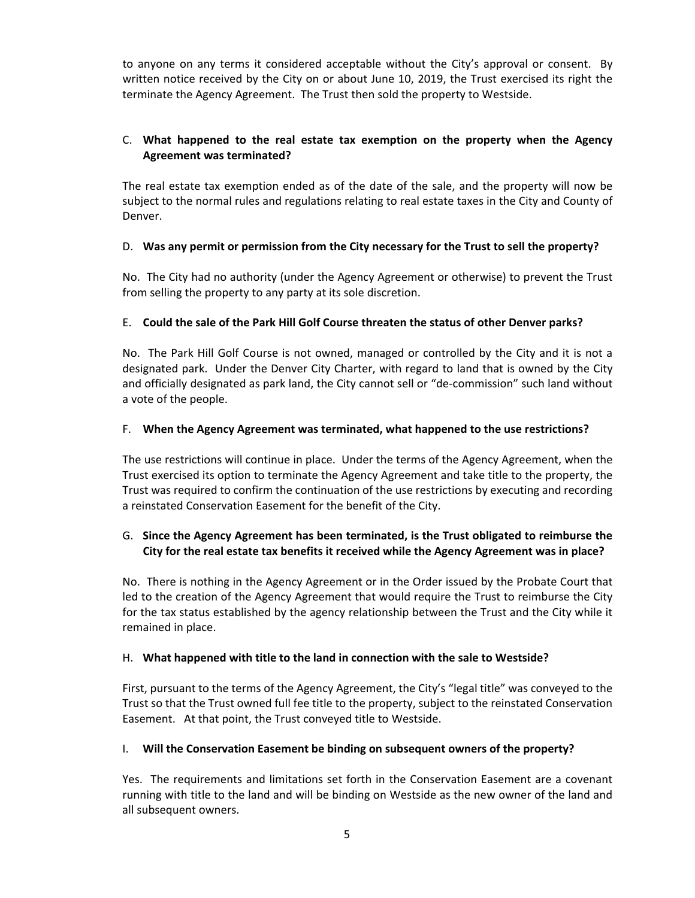to anyone on any terms it considered acceptable without the City's approval or consent. By written notice received by the City on or about June 10, 2019, the Trust exercised its right the terminate the Agency Agreement. The Trust then sold the property to Westside.

# C. **What happened to the real estate tax exemption on the property when the Agency Agreement was terminated?**

 The real estate tax exemption ended as of the date of the sale, and the property will now be subject to the normal rules and regulations relating to real estate taxes in the City and County of Denver.

## D. Was any permit or permission from the City necessary for the Trust to sell the property?

 No. The City had no authority (under the Agency Agreement or otherwise) to prevent the Trust from selling the property to any party at its sole discretion.

## E. Could the sale of the Park Hill Golf Course threaten the status of other Denver parks?

 No. The Park Hill Golf Course is not owned, managed or controlled by the City and it is not a designated park. Under the Denver City Charter, with regard to land that is owned by the City and officially designated as park land, the City cannot sell or "de‐commission" such land without a vote of the people.

#### F. **When the Agency Agreement was terminated, what happened to the use restrictions?**

 The use restrictions will continue in place. Under the terms of the Agency Agreement, when the Trust exercised its option to terminate the Agency Agreement and take title to the property, the Trust was required to confirm the continuation of the use restrictions by executing and recording a reinstated Conservation Easement for the benefit of the City.

## G. Since the Agency Agreement has been terminated, is the Trust obligated to reimburse the City for the real estate tax benefits it received while the Agency Agreement was in place?

 No. There is nothing in the Agency Agreement or in the Order issued by the Probate Court that led to the creation of the Agency Agreement that would require the Trust to reimburse the City for the tax status established by the agency relationship between the Trust and the City while it remained in place.

## H. **What happened with title to the land in connection with the sale to Westside?**

 First, pursuant to the terms of the Agency Agreement, the City's "legal title" was conveyed to the Trust so that the Trust owned full fee title to the property, subject to the reinstated Conservation Easement. At that point, the Trust conveyed title to Westside.

#### I. **Will the Conservation Easement be binding on subsequent owners of the property?**

 Yes. The requirements and limitations set forth in the Conservation Easement are a covenant running with title to the land and will be binding on Westside as the new owner of the land and all subsequent owners.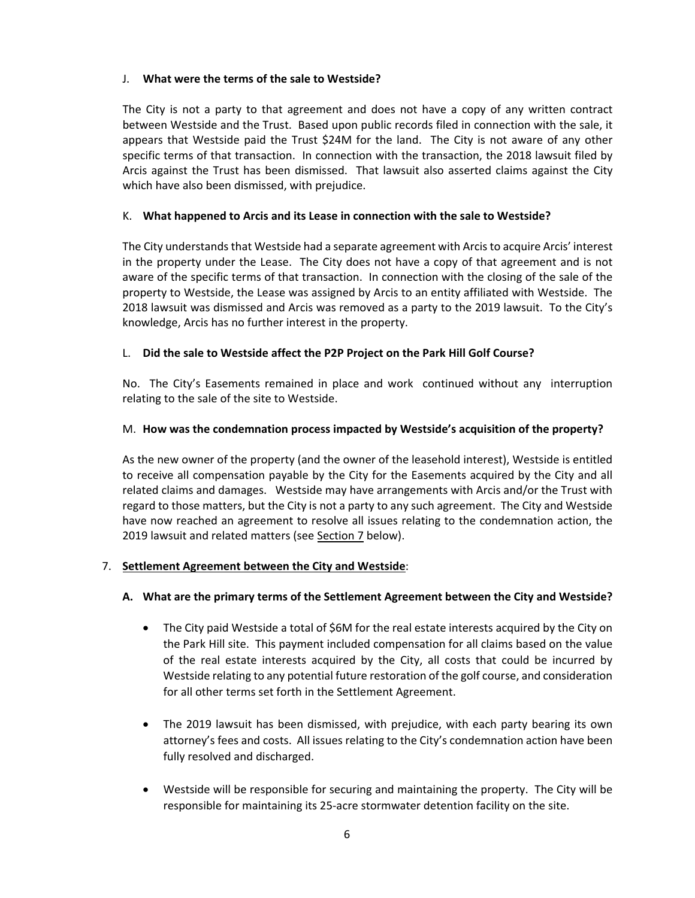#### J. **What were the terms of the sale to Westside?**

 The City is not a party to that agreement and does not have a copy of any written contract between Westside and the Trust. Based upon public records filed in connection with the sale, it appears that Westside paid the Trust \$24M for the land. The City is not aware of any other specific terms of that transaction. In connection with the transaction, the 2018 lawsuit filed by Arcis against the Trust has been dismissed. That lawsuit also asserted claims against the City which have also been dismissed, with prejudice.

## K. **What happened to Arcis and its Lease in connection with the sale to Westside?**

The City understands that Westside had a separate agreement with Arcis to acquire Arcis' interest in the property under the Lease. The City does not have a copy of that agreement and is not aware of the specific terms of that transaction. In connection with the closing of the sale of the property to Westside, the Lease was assigned by Arcis to an entity affiliated with Westside. The 2018 lawsuit was dismissed and Arcis was removed as a party to the 2019 lawsuit. To the City's knowledge, Arcis has no further interest in the property.

## L. **Did the sale to Westside affect the P2P Project on the Park Hill Golf Course?**

 No. The City's Easements remained in place and work continued without any interruption relating to the sale of the site to Westside.

#### M. **How was the condemnation process impacted by Westside's acquisition of the property?**

 As the new owner of the property (and the owner of the leasehold interest), Westside is entitled to receive all compensation payable by the City for the Easements acquired by the City and all related claims and damages. Westside may have arrangements with Arcis and/or the Trust with regard to those matters, but the City is not a party to any such agreement. The City and Westside have now reached an agreement to resolve all issues relating to the condemnation action, the 2019 lawsuit and related matters (see Section 7 below).

#### 7. **Settlement Agreement between the City and Westside**:

#### A. What are the primary terms of the Settlement Agreement between the City and Westside?

- The City paid Westside a total of \$6M for the real estate interests acquired by the City on the Park Hill site. This payment included compensation for all claims based on the value of the real estate interests acquired by the City, all costs that could be incurred by Westside relating to any potential future restoration of the golf course, and consideration for all other terms set forth in the Settlement Agreement.
- The 2019 lawsuit has been dismissed, with prejudice, with each party bearing its own attorney's fees and costs. All issues relating to the City's condemnation action have been fully resolved and discharged.
- Westside will be responsible for securing and maintaining the property. The City will be responsible for maintaining its 25‐acre stormwater detention facility on the site.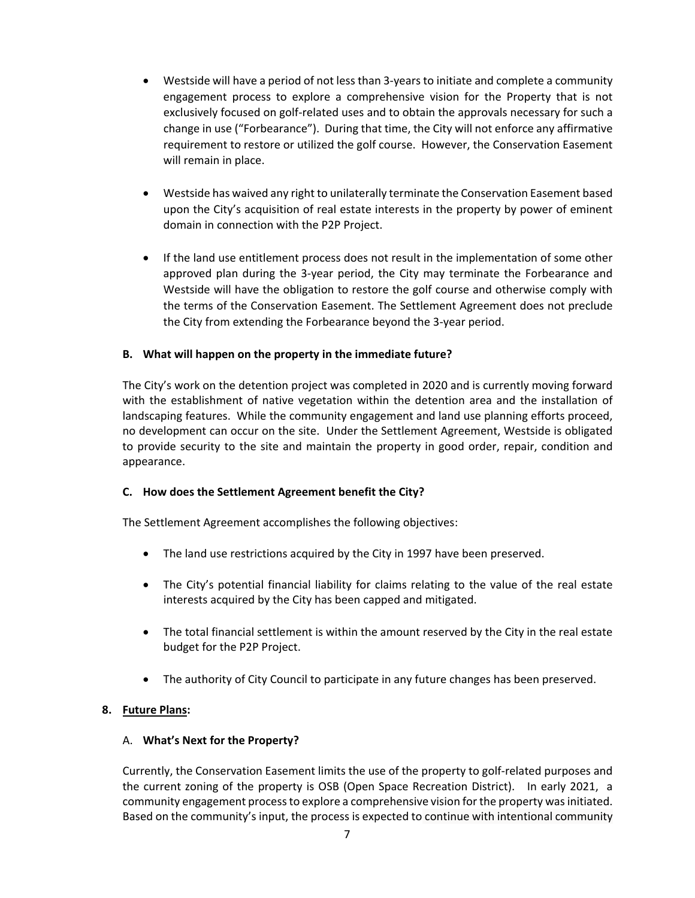- Westside will have a period of not less than 3-years to initiate and complete a community engagement process to explore a comprehensive vision for the Property that is not exclusively focused on golf‐related uses and to obtain the approvals necessary for such a change in use ("Forbearance"). During that time, the City will not enforce any affirmative requirement to restore or utilized the golf course. However, the Conservation Easement will remain in place.
- Westside has waived any right to unilaterally terminate the Conservation Easement based upon the City's acquisition of real estate interests in the property by power of eminent domain in connection with the P2P Project.
- If the land use entitlement process does not result in the implementation of some other approved plan during the 3‐year period, the City may terminate the Forbearance and Westside will have the obligation to restore the golf course and otherwise comply with the terms of the Conservation Easement. The Settlement Agreement does not preclude the City from extending the Forbearance beyond the 3‐year period.

## **B. What will happen on the property in the immediate future?**

 The City's work on the detention project was completed in 2020 and is currently moving forward with the establishment of native vegetation within the detention area and the installation of landscaping features. While the community engagement and land use planning efforts proceed, no development can occur on the site. Under the Settlement Agreement, Westside is obligated to provide security to the site and maintain the property in good order, repair, condition and appearance.

#### **C. How does the Settlement Agreement benefit the City?**

The Settlement Agreement accomplishes the following objectives:

- The land use restrictions acquired by the City in 1997 have been preserved.
- The City's potential financial liability for claims relating to the value of the real estate interests acquired by the City has been capped and mitigated.
- The total financial settlement is within the amount reserved by the City in the real estate budget for the P2P Project.
- The authority of City Council to participate in any future changes has been preserved.

#### **8. Future Plans:**

#### A. **What's Next for the Property?**

 Currently, the Conservation Easement limits the use of the property to golf‐related purposes and the current zoning of the property is OSB (Open Space Recreation District). In early 2021, a community engagement process to explore a comprehensive vision for the property was initiated. Based on the community's input, the process is expected to continue with intentional community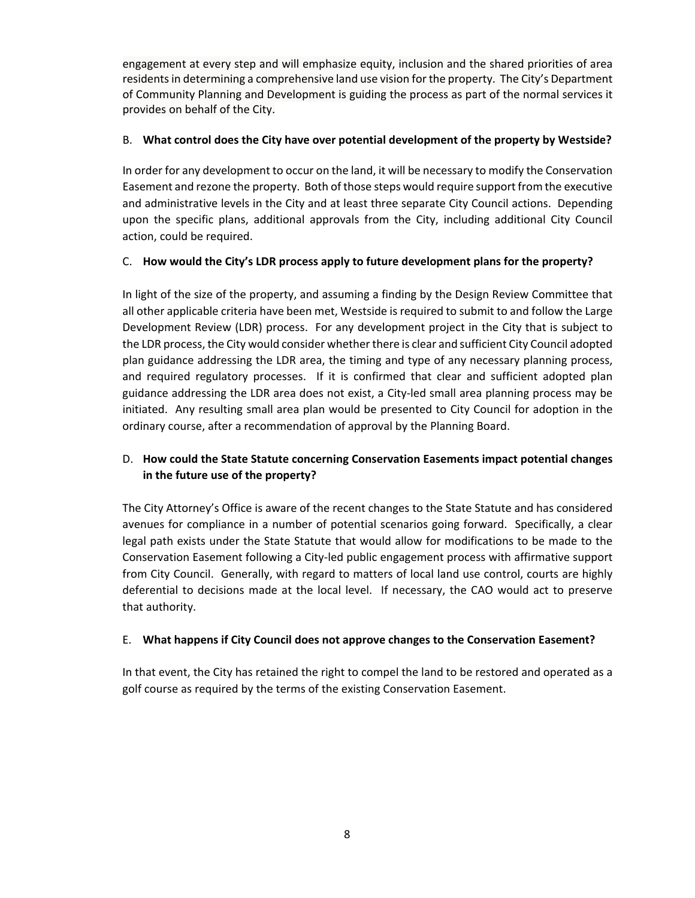engagement at every step and will emphasize equity, inclusion and the shared priorities of area residents in determining a comprehensive land use vision for the property. The City's Department of Community Planning and Development is guiding the process as part of the normal services it provides on behalf of the City.

# B. What control does the City have over potential development of the property by Westside?

 In order for any development to occur on the land, it will be necessary to modify the Conservation Easement and rezone the property. Both of those steps would require support from the executive and administrative levels in the City and at least three separate City Council actions. Depending upon the specific plans, additional approvals from the City, including additional City Council action, could be required.

## C. How would the City's LDR process apply to future development plans for the property?

 In light of the size of the property, and assuming a finding by the Design Review Committee that all other applicable criteria have been met, Westside is required to submit to and follow the Large Development Review (LDR) process. For any development project in the City that is subject to the LDR process, the City would consider whether there is clear and sufficient City Council adopted plan guidance addressing the LDR area, the timing and type of any necessary planning process, and required regulatory processes. If it is confirmed that clear and sufficient adopted plan guidance addressing the LDR area does not exist, a City‐led small area planning process may be initiated. Any resulting small area plan would be presented to City Council for adoption in the ordinary course, after a recommendation of approval by the Planning Board.

# D. **How could the State Statute concerning Conservation Easements impact potential changes in the future use of the property?**

 The City Attorney's Office is aware of the recent changes to the State Statute and has considered avenues for compliance in a number of potential scenarios going forward. Specifically, a clear legal path exists under the State Statute that would allow for modifications to be made to the Conservation Easement following a City‐led public engagement process with affirmative support from City Council. Generally, with regard to matters of local land use control, courts are highly deferential to decisions made at the local level. If necessary, the CAO would act to preserve that authority.

## E. **What happens if City Council does not approve changes to the Conservation Easement?**

 In that event, the City has retained the right to compel the land to be restored and operated as a golf course as required by the terms of the existing Conservation Easement.